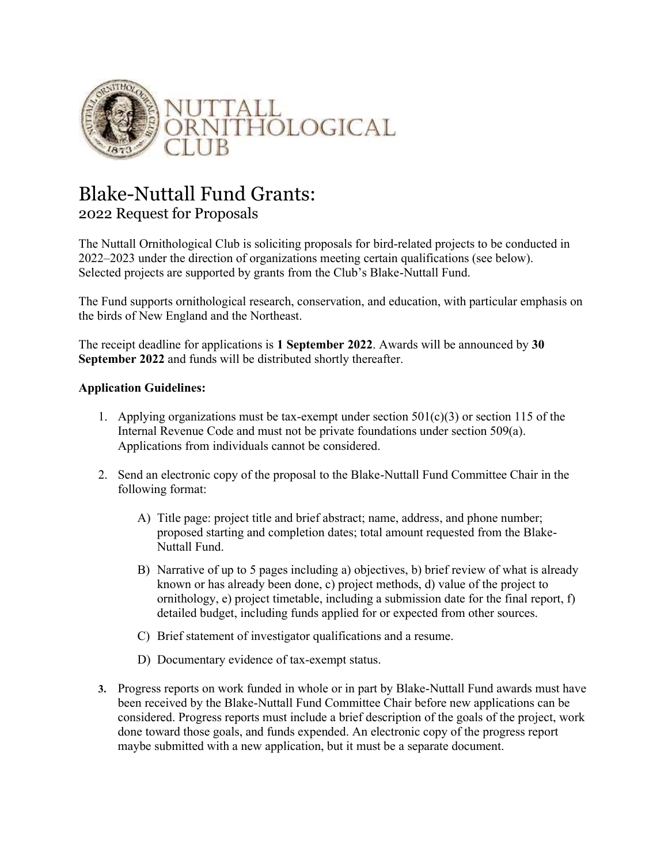

## Blake-Nuttall Fund Grants:

## 2022 Request for Proposals

The Nuttall Ornithological Club is soliciting proposals for bird-related projects to be conducted in 2022–2023 under the direction of organizations meeting certain qualifications (see below). Selected projects are supported by grants from the Club's Blake-Nuttall Fund.

The Fund supports ornithological research, conservation, and education, with particular emphasis on the birds of New England and the Northeast.

The receipt deadline for applications is **1 September 2022**. Awards will be announced by **30 September 2022** and funds will be distributed shortly thereafter.

## **Application Guidelines:**

- 1. Applying organizations must be tax-exempt under section  $501(c)(3)$  or section 115 of the Internal Revenue Code and must not be private foundations under section 509(a). Applications from individuals cannot be considered.
- 2. Send an electronic copy of the proposal to the Blake-Nuttall Fund Committee Chair in the following format:
	- A) Title page: project title and brief abstract; name, address, and phone number; proposed starting and completion dates; total amount requested from the Blake-Nuttall Fund.
	- B) Narrative of up to 5 pages including a) objectives, b) brief review of what is already known or has already been done, c) project methods, d) value of the project to ornithology, e) project timetable, including a submission date for the final report, f) detailed budget, including funds applied for or expected from other sources.
	- C) Brief statement of investigator qualifications and a resume.
	- D) Documentary evidence of tax-exempt status.
- **3.** Progress reports on work funded in whole or in part by Blake-Nuttall Fund awards must have been received by the Blake-Nuttall Fund Committee Chair before new applications can be considered. Progress reports must include a brief description of the goals of the project, work done toward those goals, and funds expended. An electronic copy of the progress report maybe submitted with a new application, but it must be a separate document.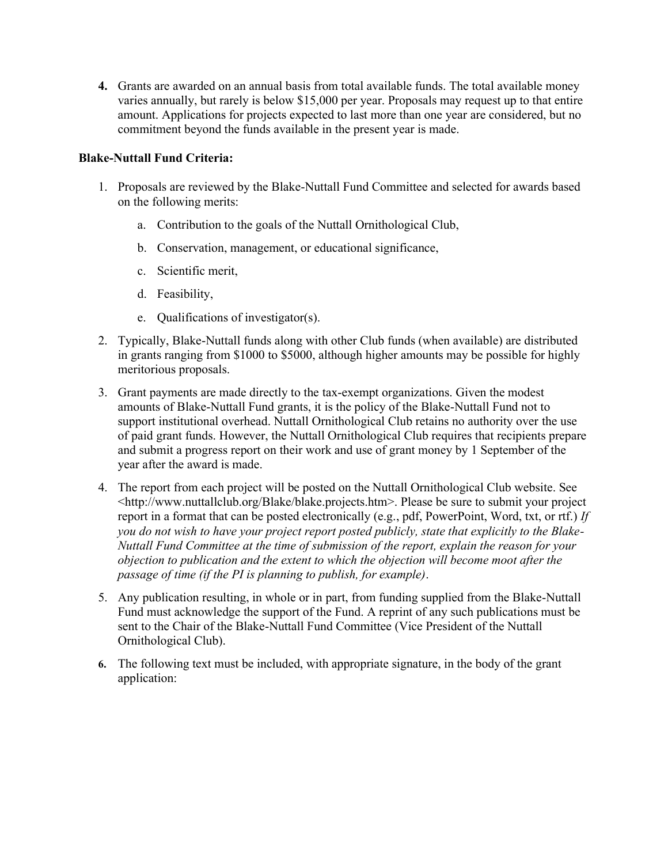**4.** Grants are awarded on an annual basis from total available funds. The total available money varies annually, but rarely is below \$15,000 per year. Proposals may request up to that entire amount. Applications for projects expected to last more than one year are considered, but no commitment beyond the funds available in the present year is made.

## **Blake-Nuttall Fund Criteria:**

- 1. Proposals are reviewed by the Blake-Nuttall Fund Committee and selected for awards based on the following merits:
	- a. Contribution to the goals of the Nuttall Ornithological Club,
	- b. Conservation, management, or educational significance,
	- c. Scientific merit,
	- d. Feasibility,
	- e. Qualifications of investigator(s).
- 2. Typically, Blake-Nuttall funds along with other Club funds (when available) are distributed in grants ranging from \$1000 to \$5000, although higher amounts may be possible for highly meritorious proposals.
- 3. Grant payments are made directly to the tax-exempt organizations. Given the modest amounts of Blake-Nuttall Fund grants, it is the policy of the Blake-Nuttall Fund not to support institutional overhead. Nuttall Ornithological Club retains no authority over the use of paid grant funds. However, the Nuttall Ornithological Club requires that recipients prepare and submit a progress report on their work and use of grant money by 1 September of the year after the award is made.
- 4. The report from each project will be posted on the Nuttall Ornithological Club website. See <http://www.nuttallclub.org/Blake/blake.projects.htm>. Please be sure to submit your project report in a format that can be posted electronically (e.g., pdf, PowerPoint, Word, txt, or rtf.) *If you do not wish to have your project report posted publicly, state that explicitly to the Blake-Nuttall Fund Committee at the time of submission of the report, explain the reason for your objection to publication and the extent to which the objection will become moot after the passage of time (if the PI is planning to publish, for example)*.
- 5. Any publication resulting, in whole or in part, from funding supplied from the Blake-Nuttall Fund must acknowledge the support of the Fund. A reprint of any such publications must be sent to the Chair of the Blake-Nuttall Fund Committee (Vice President of the Nuttall Ornithological Club).
- **6.** The following text must be included, with appropriate signature, in the body of the grant application: